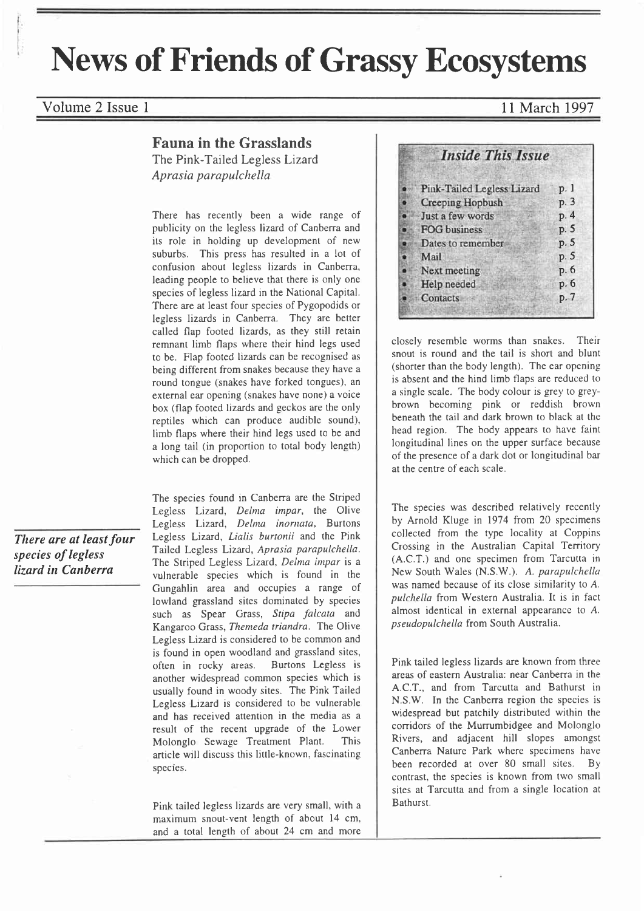# News of Friends of Grassy Ecosystems

### Volume 2 Issue 1 and 1997

## Fauna in the Grasslands

The Pink-Tailed Legless Lizard Aprasia parapulchella

There has recently been a wide range of publicity on the legless lizard of Canberra and its role in holding up development of new suburbs. This press has resulted in a lot of confusion about legless lizards in Canberra, leading people to believe that there is only one species of legless lizard in the National Capital. There are at least four species of Pygopodids or Iegless lizards in Canberra. They are better called flap footed lizards, as they still retain remnant limb flaps where their hind legs used to be. Flap footed lizards can be recognised as being different from snakes because they have a round tongue (snakes have forked tongues), an external ear opening (snakes have none) a voice box (flap footed lizards and geckos are the only reptiles which can produce audible sound), limb flaps where their hind legs used to be and a long tail (in proportion to total body length) which can be dropped.

There are at least four species of legless lizard in Canberra

The species found in Canberra are the Striped Legless Lizard, Delma impar, the Olive Legless Lizard, Delma inornata, Burtons Legless Lizard, Lialis burtonii and the Pink Tailed Legless Lizard, Aprasia parapulchella. The Striped Legless Lizard, Delma impar is a vulnerable species which is found in the Gungahlin area and occupies a range of lowland grassland sites dominated by species such as Spear Grass, Stipa falcata and Kangaroo Grass, Themeda triandra. The Olive Legless Lizard is considered to be common and is found in open woodland and grassland sites, often in rocky areas. Burtons Legless is another widespread common species which is usually found in woody sites. The Pink Tailed Legless Lizard is considered to be vulnerable and has received attention in the media as <sup>a</sup> result of the recent upgrade of the Lower Molonglo Sewage Treatment Plant. This article will discuss this little-known, fascinating species.

Pink tailed legless lizards are very small, with <sup>a</sup> maximum snout-vent length of about l4 cm, and a total length of about 24 cm and more

| <b>Inside This Issue</b>          |      |
|-----------------------------------|------|
| <b>Pink-Tailed Legless Lizard</b> | p. 1 |
| <b>Creeping Hopbush</b>           | p. 3 |
| Just a few words                  | p.4  |
| <b>FOG</b> business               | p. 5 |
| Dates to remember                 | p. 5 |
| Mail                              | p.5  |
| Next meeting                      | р. б |
| Help needed                       | p.6  |
| Contacts                          | p.7  |

closely resemble worms than snakes. Their snout is round and the tail is short and blunt (shorter than the body length). The ear opening is absent and the hind limb flaps are reduced to a single scale. The body colour is grey to greybrown becoming pink or reddish brown beneath the tail and dark brown to black at the head region. The body appears to have faint longitudinal lines on the upper surface because of the presence of a dark dot or longitudinal bar at the centre of each scale.

The species was described relatively recently by Arnold Kluge in 1974 from 20 specimens collected from the type Iocality at Coppins Crossing in the Australian Capital Territory (A.C.T.) and one specimen from Tarcutta in New South Wales (N.S.W.). A. parapulchella was named because of its close similarity to  $A$ . pulchella from Western Australia. It is in fact almost identical in external appearance to A. pseudopulchella from South Australia.

Pink tailed legless lizards are known from three areas of eastern Australia: near Canberra in the A.C.T., and from Tarcutta and Bathurst in N.S.W. In the Canberra region the species is widespread but patchily distributed within the corridors of the Murrumbidgee and Molonglo Rivers, and adjacent hill slopes amongst Canberra Nature Park where specimens have been recorded at over 80 small sites. By contrast, the species is known from two small sites at Tarcutta and from a single location at Bathurst.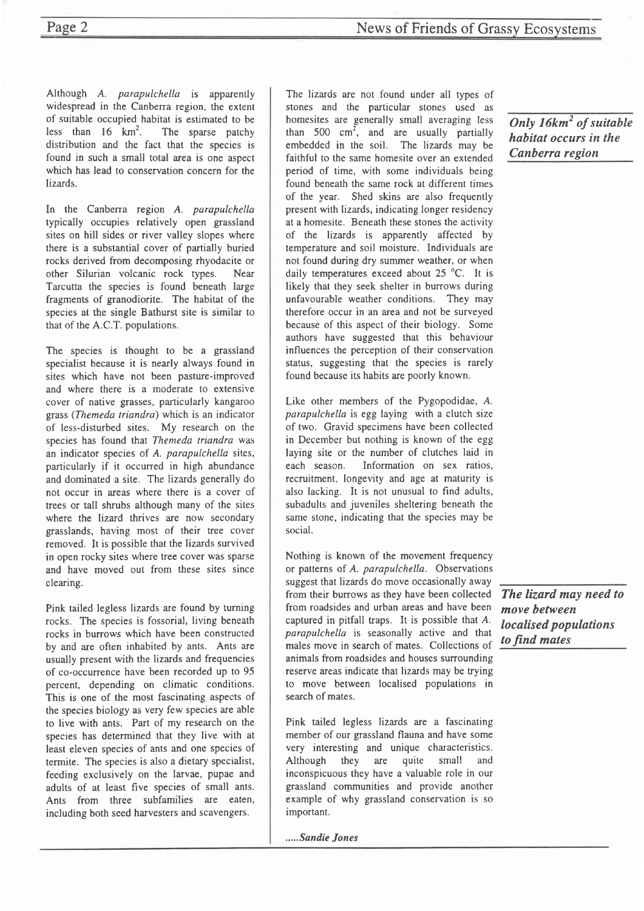Although A. parapulchella is apparently widespread in the Canberra region, the extent of suitable occupied habitat is estimated to be<br>less than  $16 \text{ km}^2$ . The sparse patchy The sparse patchy distribution and the fact that the species is found in such a small total area is one aspect which has lead to conservation concern for the Iizards.

In the Canberra region A. parapulchella typically occupies relatively open grassland sites on hill sides or river valley slopes where there is a substantial cover of partially buried rocks derived from decomposing rhyodacite or other Silurian volcanic rock types. Near Tarcutta the species is found beneath large fragments of granodiorite. The habitat of the species at the single Bathurst site is similar to that of the A.C.T. populations.

The species is thought to be a grassland specialist because it is nearly always found in sites which have not been pasture-improved and where there is a moderate to extensive cover of native grasses, particularly kangaroo grass (Themeda triandra) which is an indicator of less-disturbed sites. My research on the species has found that Themeda triandra was an indicator species of A. parapulchella sites, particularly if it occurred in high abundance and dominated a site. The lizards generally do not occur in areas where there is a cover of trees or tall shrubs although many of the sites where the lizard thrives are now secondary grasslands, having most of their tree cover removed. It is possible that the lizards survived in open rocky sites where tree cover was sparse and have moved out from these sites since clearing.

Pink tailed legless lizards are found by turning rocks. The species is fossorial, living beneath rocks in burrows which have been constructed by and are often inhabited by ants. Ants are usually present with the lizards and frequencies of co-occurrence have been recorded up to 95 percent, depending on climatic conditions. This is one of the most fascinating aspects of the species biology as very few species are able to live with ants. Part of my research on the species has determined that they live with at least eleven species of ants and one species of termite. The species is also a dietary specialist, feeding exclusively on the larvae, pupae and adults of at least five species of small ants. Ants from three subfamilies are eaten, including both seed harvesters and scavengers.

The lizards are not found under all types of stones and the particular stones used as homesites are generally small averaging less than 500  $\text{cm}^2$ , and are usually partially embedded in the soil. The lizards may be faithful to the same homesite over an extended period of time, with some individuals being found beneath the same rock at different times of the year. Shed skins are also frequently present with lizards, indicating longer residency at a homesite. Beneath these stones the activity of the lizards is apparently affected by temperature and soil moisture. Individuals are not found during dry summer weather, or when daily temperatures exceed about 25 °C. It is likely that they seek shelter in burrows during unfavourable weather conditions. They may therefore occur in an area and not be surveyed because of this aspect of their biology. Some authors have suggested that this behaviour influences the perception of their conservation status, suggesting that the species is rarely found because its habits are poorly known.

Like other members of the Pygopodidae, A. parapulchella is egg laying with a clutch size of two. Gravid specimens have been collected in December but nothing is known of the egg laying site or the number of clutches laid in each season. Information on sex ratios, recruitment, longevity and age at maturity is also lacking. It is not unusual to find adults, subadults and juveniles sheltering beneath the same stone, indicating that the species may be social.

Nothing is known of the movement frequency or patterns of A. parapulchella. Observations suggest that lizards do move occasionally away from their burrows as they have been collected from roadsides and urban areas and have been captured in pitfall traps. It is possible that A. parapulchella is seasonally active and that males move in search of mates. Collections of animals from roadsides and houses surrounding reserve areas indicate that lizards may be trying to move between localised populations in search of mates.

Pink tailed legless lizards are a fascinating member of our grassland flauna and have some very interesting and unique characteristics. Although they are quite small and inconspicuous they have a valuable role in our grassland communities and provide another example of why grassland conservation is so important.

.....Sandie Jones

Only 16km<sup>2</sup> of suitable habitat occurs in the Canberra region

The lizard may need to move between localised populations to find mates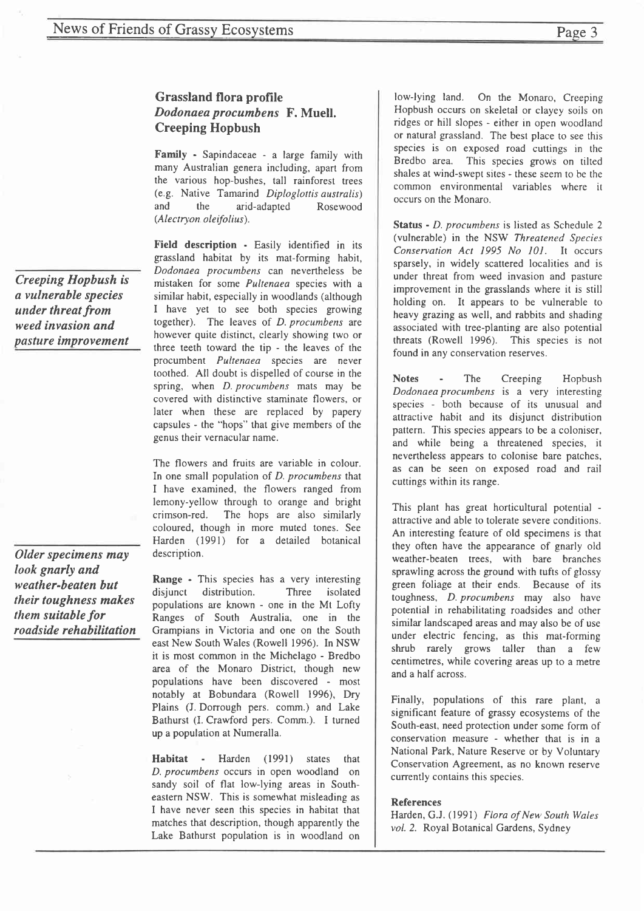#### Grassland flora profile Dodonaea procumbens F. Muell. Creeping Hopbush

Family - Sapindaceae - a Iarge family with many Australian genera including, apart from the various hop-bushes, tall rainforest trees (e.g. Native Tamarind Diploglottis australis) and the arid-adapted Rosewood (Alectryon oleifolius).

Field description - Easily identified in its grassland habitat by its mat-forming habit, Dodonaea procumbens can nevertheless be mistaken for some Pultenaea species with <sup>a</sup> similar habit, especially in woodlands (although I have yet to see both species growing together). The leaves of D. procumbens are however quite distinct, clearly showing two or three teeth toward the tip - the leaves of the procumbent Pultenaea species are never toothed. All doubt is dispelled of course in the spring, when *D. procumbens* mats may be covered with distinctive staminate flowers, or later when these are replaced by papery capsules - the "hops" that give members of the genus their vernacular name.

The flowers and fruits are variable in colour. In one small population of D. procumbens that I have examined, the flowers ranged from lemony-yellow through to orange and bright crimson-red. The hops are also similarly coloured, though in more muted tones. See Harden (1991) for a detailed botanical description.

Range - This species has a very interesting disjunct distribution. Three isolated populations are known - one in the Mt Lofty Ranges of South Australia, one in the Grampians in Victoria and one on the South east New South Wales (Rowell 1996). In NSW it is most common in the Michelago - Bredbo area of the Monaro District, though new populations have been discovered - most notably at Bobundara (Rowell 1996), Dry Plains (J. Dorrough pers. comm.) and Lake Bathurst (I. Crawford pers. Comm.). I turned up a population at Numeralla.

Habitat - Harden (1991) states that D. procumbens occurs in open woodland on sandy soil of flat low-lying areas in Southeastern NSW. This is somewhat misleading as I have never seen this species in habitat that matches that description, though apparently the Lake Bathurst population is in woodland on

low-lying land. On the Monaro, Creeping Hopbush occurs on skeletal or clayey soils on ridges or hill slopes - either in open woodland or natural grassland. The best place to see this species is on exposed road cuttings in the Bredbo area. This species grows on tilted shales at wind-swept sites - these seem to be the common environmental variables where it occurs on the Monaro.

Status - D. procumbens is listed as Schedule 2 (vulnerable) in the NSW Threatened Species Conservation Act 1995 No 101. It occurs sparsely, in widely scattered localities and is under threat from weed invasion and pasture improvement in the grasslands where it is still holding on. It appears to be vulnerable to heavy grazing as well, and rabbits and shading associated with tree-planting are also potential threats (Rowell 1996). This species is not found in any conservation reserves.

Notes - The Creeping Hopbush Dodonaea procumbens is a very interesting species - both because of its unusual and attractive habit and its disjunct distribution pattern. This species appears to be a coloniser, and while being a threatened species, it nevertheless appears to colonise bare patches, as can be seen on exposed road and rail cuttings within its range.

This plant has great horticultural potential attractive and able to tolerate severe conditions. An interesting feature of old specimens is that they often have the appearance of gnarly old weather-beaten trees, with bare branches sprawling across the ground with tufts of glossy green foliage at their ends. Because of its toughness, D. procumbens may also have potential in rehabilitating roadsides and other similar landscaped areas and may also be of use under electric fencing, as this mat-forming shrub rarely grows taller than a few centimetres, while covering areas up to a metre and a half across.

Finally, populations of this rare plant, <sup>a</sup> significant feature of grassy ecosystems of the South-east, need protection under some form of conservation measure - whether that is in <sup>a</sup> National Park, Nature Reserve or by Voluntary Conservation Agreement, as no known reserve currently contains this species.

#### References

Harden, G.J. (1991) Flora of New South Wales vol. 2. Royal Botanical Gardens, Sydney

Creeping Hopbush is a vulnerable species under threat from weed invasion and pasture improvement

Older specimens may look gnarly and weather-beaten but their toughness makes them suitable for roadside rehabilitation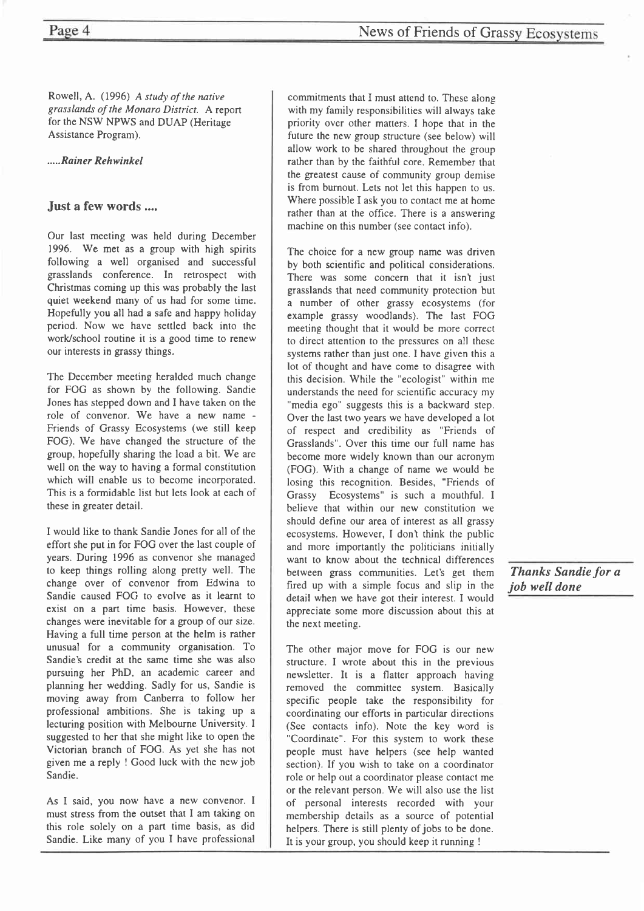Rowell, A. (1996) A study of the native grasslands of the Monaro District. A report for the NSW NPWS and DUAP (Hentage Assistance Program).

.....Rainer Rehwinkel

#### Just a few words ....

Our last meeting was held during December 1996. We met as a group with high spirits following a well organised and successful grasslands conference. In retrospect with Christmas coming up this was probably the last quiet weekend many of us had for some time. Hopefully you all had a safe and happy holiday period. Now we have settled back into the work/school routine it is a good time to renew our interests in grassy things.

The December meeting heralded much change for FOG as shown by the following. Sandie Jones has stepped down and I have taken on the role of convenor. We have a new name - Friends of Grassy Ecosystems (we still keep FOG). We have changed the structure of the group, hopefully sharing the load a bit. We are well on the way to having a formal constitution which will enable us to become incorporated. This is a formidable list but lets look at each of these in greater detail.

I would like to thank Sandie Jones for all of the effort she put in for FOG over the last couple of years. During 1996 as convenor she managed to keep things rolling along pretty well. The change over of convenor from Edwina to Sandie caused FOG to evolve as it learnt to exist on a part time basis. However, these changes were inevitable for a group of our size. Having a full time person at the helm is rather unusual for a community organisation. To Sandie's credit at the same time she was also pursuing her PhD, an academic career and planning her wedding. Sadly for us, Sandie is moving away from Canberra to follow her professional ambitions. She is taking up <sup>a</sup> lecturing position with Melbourne University. I suggested to her that she might like to open the Victorian branch of FOG. As yet she has not given me a reply ! Good luck with the new job Sandie.

As I said, you now have a new convenor. I must stress from the outset that I am taking on this role solely on a part time basis, as did Sandie. Like many of you I have professional

commitments that I must attend to. These along with my family responsibilities will always take priority over other matters. I hope that in the future the new group structure (see below) will allow work to be shared throughout the group rather than by the faithful core. Remember that the greatest cause of community group demise is from burnout. Lets not let this happen to us. Where possible I ask you to contact me at home rather than at the office. There is a answering machine on this number (see contact info).

The choice for a new group name was driven by both scientific and political considerations. There was some concern that it isn't just grasslands that need community protection but a number of other grassy ecosystems (for example grassy woodlands). The last FOG meeting thought that it would be more correct to direct attention to the pressures on all these systems rather than just one. I have given this <sup>a</sup> lot of thought and have come to disagree with this decision. While the "ecologist" within me understands the need for scientific accuracy my "media ego" suggests this is a backward step. Over the last two years we have developed a lot of respect and credibility as "Friends of Grasslands". Over this time our full name has become more widely known than our acronym (FOG). With a change of name we would be losing this recognition. Besides, "Friends of Grassy Ecosystems" is such a mouthful. I believe that within our new constitution we should define our area of interest as all grassy ecosystems. However, I dont think the public and more importantly the politicians initially want to know about the technical differences between grass communities. Let's get them fired up with a simple focus and slip in the detail when we have got their interest. I would appreciate some more discussion about this at the next meeting.

The other major move for FOG is our new structure. I wrote about this in the previous newsletter. It is a flatter approach having removed the committee system. Basically specific people take the responsibility for coordinating our efforts in particular directions (See contacts info). Note the key word is "Coordinate". For this system to work these people must have helpers (see help wanted section). If you wish to take on a coordinator role or help out a coordinator please contact me or the relevant person. We will also use the list of personal interests recorded with your membership details as a source of potential helpers. There is still plenty of jobs to be done. It is your group, you should keep it running !

Thanks Sandie for a job well done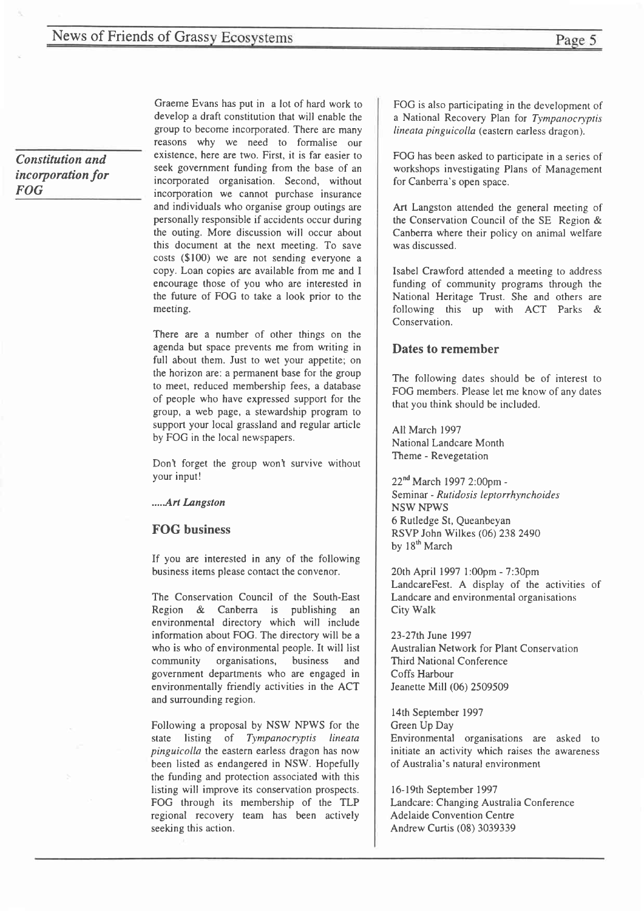Constitution and incorporation for FOG

Graeme Evans has put in a lot of hard work to develop a draft constitution that will enable the group to become incorporated. There are many reasons why we need to formalise our existence, here are two. First, it is far easier to seek government funding from the base of an incorporated organisation. Second, without incorporation we cannot purchase insurance and individuals who organise group outings are personally responsible if accidents occur during the outing. More discussion will occur about this document at the next meeting. To save costs (\$100) we are not sending everyone <sup>a</sup> copy. Loan copies are available from me and I encourage those of you who are interested in the future of FOG to take a look prior to the meeting.

There are a number of other things on the agenda but space prevents me from writing in full about them. Just to wet your appetite; on the horizon are: a permanent base for the group to meet, reduced membership fees, a database of people who have expressed support for the group, a web page, a stewardship program to support your local grassland and regular article by FOG in the local newspapers.

Don't forget the group won't survive without your input!

.....Ar1 Langston

#### FOG business

If you are interested in any of the following business items please contact the convenor.

The Conservation Council of the South-East Region & Canberra is publishing an environmental directory which will include information about FOG. The directory will be <sup>a</sup> who is who of environmental people. It will list community organisations, business and government departments who are engaged in environmentally friendly activities in the ACT and surrounding region.

Following a proposal by NSW NPWS for the state listing of Tympanocryptis lineata pinguicolla the eastern earless dragon has now been listed as endangered in NSW. Hopefully the funding and protection associated with this listing will improve its conservation prospects. FOG through its membership of the TLP regional recovery team has been actively seeking this action.

FOG is also participating in the development of a National Recovery Plan for Tympanocryptis lineata pinguicolla (eastern earless dragon).

FOG has been asked to participate in a series of workshops investigating Plans of Management for Canberra's open space.

Art Langston attended the general meeting of the Conservation Council of the SE Region & Canberra where their policy on animal welfare was discussed.

Isabel Crawford attended a meeting to address funding of community programs through the National Heritage Trust. She and others are following this up with ACT Parks & Conservation.

#### Dates to remember

The following dates should be of interest to FOG members. Please let me know of any dates that you think should be included.

All March 1997 National Landcare Month Theme - Revegetation

22nd March 1997 2:0Opm - Seminar - Rutidosis leptorrhynchoides NSW NPWS 6 Rutledge St, Queanbeyan RSVP John Wilkes (06) 238 2490 by  $18<sup>th</sup>$  March

20th April 1997 1:00pm - 7:30pm LandcareFest. A display of the activities of Landcare and environmental organisations City Wdk

23-27th June 1997 Australian Network for Plant Conservation Third National Conference Coffs Harbour Jeanette Mill (06) 2509509

l4th September 1997 Green Up Day Environmental organisations are asked to initiate an activity which raises the awareness of Australia's natural environment

l6-l9th September 1997 Landcare: Changing Australia Conference Adelaide Convention Centre Andrew Curtis (08) 3039339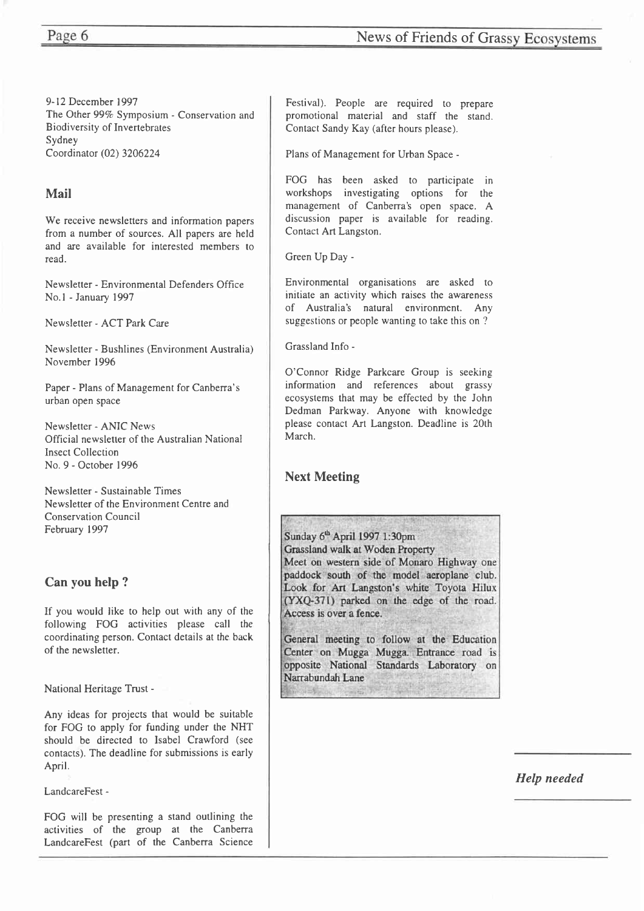9-12 December 1997 The Other 99% Symposium - Conservation and Biodiversity of Invertebrates Sydney Coordinator (02) 3206224

#### Mail

We receive newsletters and information papers from a number of sources. All papers are held and are available for interested members to read.

Newsletter - Environmental Defenders Office No.l - January 1997

Newsletter - ACT Park Care

Newsletter - Bushlines (Environment Australia) November 1996

Paper - Plans of Management for Canberra's urban open space

Newsletter - ANIC News Official newsletter of the Australian National Insect Collection No.9 - October 1996

Newsletter - Sustainable Times Newsletter of the Environment Centre and Conservation Council February 1997

### Can you help ?

If you would like to help out with any of the following FOG activities please call the coordinating person. Contact details at the back of the newsletter.

National Heritage Trust -

Any ideas for projects that would be suitable for FOG to apply for funding under the NHT should be directed to Isabel Crawford (see contacts). The deadline for submissions is early April.

LandcareFest -

FOG will be presenting a stand outlining the activities of the group at the Canberra LandcareFest (part of the Canberra Science

Festival). People are required to prepare promotional material and staff the stand. Contact Sandy Kay (after hours please).

Plans of Management for Urban Space -

FOG has been asked to participate in workshops investigating options for the management of Canberra's open space. A discussion paper is available for reading. Contact Art Langston.

Green Up Day -

Environmental organisations are asked to initiate an activity which raises the awareness of Australia's natural environment. Any suggestions or people wanting to take this on ?

Grassland Info -

O'Connor Ridge Parkcare Group is seeking information and references about grassy ecosystems that may be effected by the John Dedman Parkway. Anyone with knowledge please contact Art Langston. Deadline is 20th March.

### Next Meeting

Sunday 6<sup>th</sup> April 1997 1:30pm Grassland walk at Woden Property Meet on western side of Monaro Highway one paddock south of the model aeroplane club. Look for Art Langston's white Toyota Hilux (YXQ-371) parked on the edge of the road. Access is over a fence.

General meeting to follow at the Education Center on Mugga Mugga. Entrance road is opposite National Standards Laboratory on Narrabundah Lane

Help needed